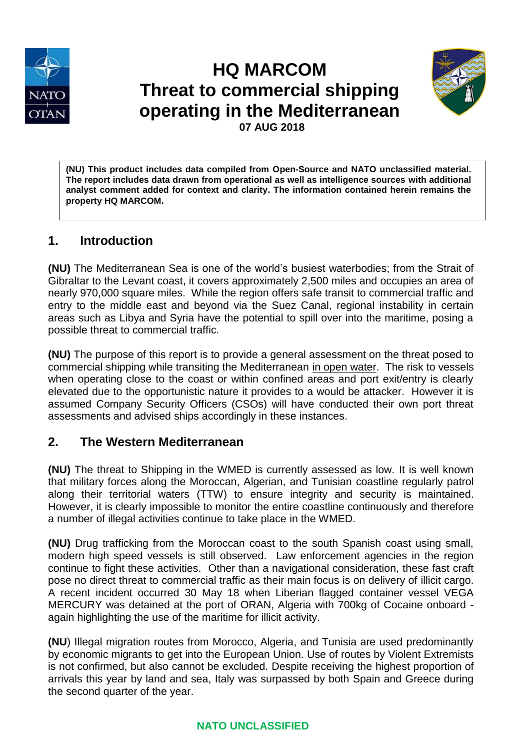

# **HQ MARCOM Threat to commercial shipping operating in the Mediterranean 07 AUG 2018**



**(NU) This product includes data compiled from Open-Source and NATO unclassified material. The report includes data drawn from operational as well as intelligence sources with additional analyst comment added for context and clarity. The information contained herein remains the property HQ MARCOM.**

# **1. Introduction**

**(NU)** The Mediterranean Sea is one of the world's busiest waterbodies; from the Strait of Gibraltar to the Levant coast, it covers approximately 2,500 miles and occupies an area of nearly 970,000 square miles. While the region offers safe transit to commercial traffic and entry to the middle east and beyond via the Suez Canal, regional instability in certain areas such as Libya and Syria have the potential to spill over into the maritime, posing a possible threat to commercial traffic.

**(NU)** The purpose of this report is to provide a general assessment on the threat posed to commercial shipping while transiting the Mediterranean in open water. The risk to vessels when operating close to the coast or within confined areas and port exit/entry is clearly elevated due to the opportunistic nature it provides to a would be attacker. However it is assumed Company Security Officers (CSOs) will have conducted their own port threat assessments and advised ships accordingly in these instances.

# **2. The Western Mediterranean**

**(NU)** The threat to Shipping in the WMED is currently assessed as low. It is well known that military forces along the Moroccan, Algerian, and Tunisian coastline regularly patrol along their territorial waters (TTW) to ensure integrity and security is maintained. However, it is clearly impossible to monitor the entire coastline continuously and therefore a number of illegal activities continue to take place in the WMED.

**(NU)** Drug trafficking from the Moroccan coast to the south Spanish coast using small, modern high speed vessels is still observed. Law enforcement agencies in the region continue to fight these activities. Other than a navigational consideration, these fast craft pose no direct threat to commercial traffic as their main focus is on delivery of illicit cargo. A recent incident occurred 30 May 18 when Liberian flagged container vessel VEGA MERCURY was detained at the port of ORAN, Algeria with 700kg of Cocaine onboard again highlighting the use of the maritime for illicit activity.

**(NU**) Illegal migration routes from Morocco, Algeria, and Tunisia are used predominantly by economic migrants to get into the European Union. Use of routes by Violent Extremists is not confirmed, but also cannot be excluded. Despite receiving the highest proportion of arrivals this year by land and sea, Italy was surpassed by both Spain and Greece during the second quarter of the year.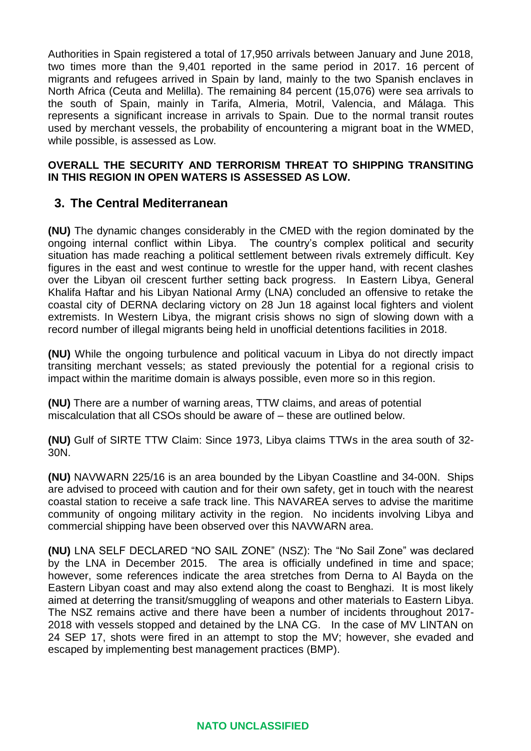Authorities in Spain registered a total of 17,950 arrivals between January and June 2018, two times more than the 9,401 reported in the same period in 2017. 16 percent of migrants and refugees arrived in Spain by land, mainly to the two Spanish enclaves in North Africa (Ceuta and Melilla). The remaining 84 percent (15,076) were sea arrivals to the south of Spain, mainly in Tarifa, Almeria, Motril, Valencia, and Málaga. This represents a significant increase in arrivals to Spain. Due to the normal transit routes used by merchant vessels, the probability of encountering a migrant boat in the WMED, while possible, is assessed as Low.

#### **OVERALL THE SECURITY AND TERRORISM THREAT TO SHIPPING TRANSITING IN THIS REGION IN OPEN WATERS IS ASSESSED AS LOW.**

## **3. The Central Mediterranean**

**(NU)** The dynamic changes considerably in the CMED with the region dominated by the ongoing internal conflict within Libya. The country's complex political and security situation has made reaching a political settlement between rivals extremely difficult. Key figures in the east and west continue to wrestle for the upper hand, with recent clashes over the Libyan oil crescent further setting back progress. In Eastern Libya, General Khalifa Haftar and his Libyan National Army (LNA) concluded an offensive to retake the coastal city of DERNA declaring victory on 28 Jun 18 against local fighters and violent extremists. In Western Libya, the migrant crisis shows no sign of slowing down with a record number of illegal migrants being held in unofficial detentions facilities in 2018.

**(NU)** While the ongoing turbulence and political vacuum in Libya do not directly impact transiting merchant vessels; as stated previously the potential for a regional crisis to impact within the maritime domain is always possible, even more so in this region.

**(NU)** There are a number of warning areas, TTW claims, and areas of potential miscalculation that all CSOs should be aware of – these are outlined below.

**(NU)** Gulf of SIRTE TTW Claim: Since 1973, Libya claims TTWs in the area south of 32- 30N.

**(NU)** NAVWARN 225/16 is an area bounded by the Libyan Coastline and 34-00N. Ships are advised to proceed with caution and for their own safety, get in touch with the nearest coastal station to receive a safe track line. This NAVAREA serves to advise the maritime community of ongoing military activity in the region. No incidents involving Libya and commercial shipping have been observed over this NAVWARN area.

**(NU)** LNA SELF DECLARED "NO SAIL ZONE" (NSZ): The "No Sail Zone" was declared by the LNA in December 2015. The area is officially undefined in time and space; however, some references indicate the area stretches from Derna to Al Bayda on the Eastern Libyan coast and may also extend along the coast to Benghazi. It is most likely aimed at deterring the transit/smuggling of weapons and other materials to Eastern Libya. The NSZ remains active and there have been a number of incidents throughout 2017- 2018 with vessels stopped and detained by the LNA CG. In the case of MV LINTAN on 24 SEP 17, shots were fired in an attempt to stop the MV; however, she evaded and escaped by implementing best management practices (BMP).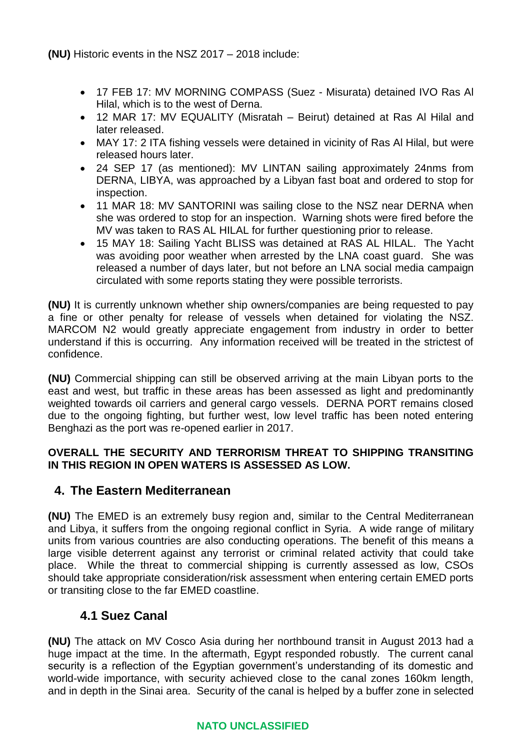**(NU)** Historic events in the NSZ 2017 – 2018 include:

- 17 FEB 17: MV MORNING COMPASS (Suez Misurata) detained IVO Ras Al Hilal, which is to the west of Derna.
- 12 MAR 17: MV EQUALITY (Misratah Beirut) detained at Ras Al Hilal and later released.
- MAY 17: 2 ITA fishing vessels were detained in vicinity of Ras Al Hilal, but were released hours later.
- 24 SEP 17 (as mentioned): MV LINTAN sailing approximately 24nms from DERNA, LIBYA, was approached by a Libyan fast boat and ordered to stop for inspection.
- 11 MAR 18: MV SANTORINI was sailing close to the NSZ near DERNA when she was ordered to stop for an inspection. Warning shots were fired before the MV was taken to RAS AL HILAL for further questioning prior to release.
- 15 MAY 18: Sailing Yacht BLISS was detained at RAS AL HILAL. The Yacht was avoiding poor weather when arrested by the LNA coast guard. She was released a number of days later, but not before an LNA social media campaign circulated with some reports stating they were possible terrorists.

**(NU)** It is currently unknown whether ship owners/companies are being requested to pay a fine or other penalty for release of vessels when detained for violating the NSZ. MARCOM N2 would greatly appreciate engagement from industry in order to better understand if this is occurring. Any information received will be treated in the strictest of confidence.

**(NU)** Commercial shipping can still be observed arriving at the main Libyan ports to the east and west, but traffic in these areas has been assessed as light and predominantly weighted towards oil carriers and general cargo vessels. DERNA PORT remains closed due to the ongoing fighting, but further west, low level traffic has been noted entering Benghazi as the port was re-opened earlier in 2017.

## **OVERALL THE SECURITY AND TERRORISM THREAT TO SHIPPING TRANSITING IN THIS REGION IN OPEN WATERS IS ASSESSED AS LOW.**

## **4. The Eastern Mediterranean**

**(NU)** The EMED is an extremely busy region and, similar to the Central Mediterranean and Libya, it suffers from the ongoing regional conflict in Syria. A wide range of military units from various countries are also conducting operations. The benefit of this means a large visible deterrent against any terrorist or criminal related activity that could take place. While the threat to commercial shipping is currently assessed as low, CSOs should take appropriate consideration/risk assessment when entering certain EMED ports or transiting close to the far EMED coastline.

## **4.1 Suez Canal**

**(NU)** The attack on MV Cosco Asia during her northbound transit in August 2013 had a huge impact at the time. In the aftermath, Egypt responded robustly. The current canal security is a reflection of the Egyptian government's understanding of its domestic and world-wide importance, with security achieved close to the canal zones 160km length, and in depth in the Sinai area. Security of the canal is helped by a buffer zone in selected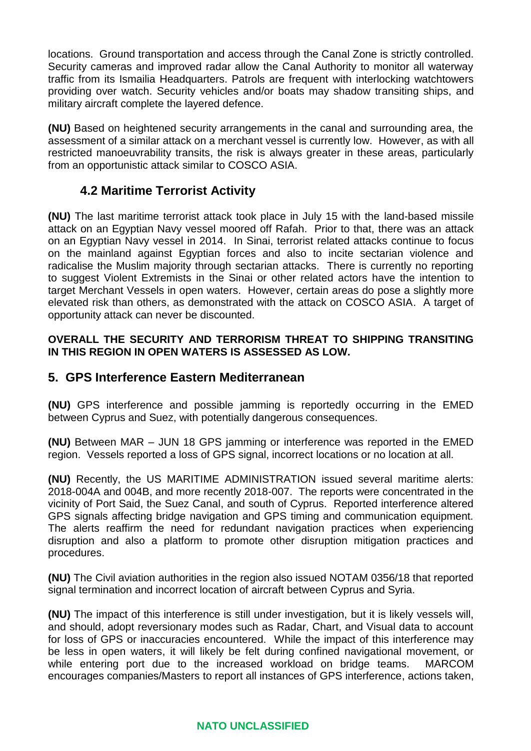locations. Ground transportation and access through the Canal Zone is strictly controlled. Security cameras and improved radar allow the Canal Authority to monitor all waterway traffic from its Ismailia Headquarters. Patrols are frequent with interlocking watchtowers providing over watch. Security vehicles and/or boats may shadow transiting ships, and military aircraft complete the layered defence.

**(NU)** Based on heightened security arrangements in the canal and surrounding area, the assessment of a similar attack on a merchant vessel is currently low. However, as with all restricted manoeuvrability transits, the risk is always greater in these areas, particularly from an opportunistic attack similar to COSCO ASIA.

## **4.2 Maritime Terrorist Activity**

**(NU)** The last maritime terrorist attack took place in July 15 with the land-based missile attack on an Egyptian Navy vessel moored off Rafah. Prior to that, there was an attack on an Egyptian Navy vessel in 2014. In Sinai, terrorist related attacks continue to focus on the mainland against Egyptian forces and also to incite sectarian violence and radicalise the Muslim majority through sectarian attacks. There is currently no reporting to suggest Violent Extremists in the Sinai or other related actors have the intention to target Merchant Vessels in open waters. However, certain areas do pose a slightly more elevated risk than others, as demonstrated with the attack on COSCO ASIA. A target of opportunity attack can never be discounted.

#### **OVERALL THE SECURITY AND TERRORISM THREAT TO SHIPPING TRANSITING IN THIS REGION IN OPEN WATERS IS ASSESSED AS LOW.**

## **5. GPS Interference Eastern Mediterranean**

**(NU)** GPS interference and possible jamming is reportedly occurring in the EMED between Cyprus and Suez, with potentially dangerous consequences.

**(NU)** Between MAR – JUN 18 GPS jamming or interference was reported in the EMED region. Vessels reported a loss of GPS signal, incorrect locations or no location at all.

**(NU)** Recently, the US MARITIME ADMINISTRATION issued several maritime alerts: 2018-004A and 004B, and more recently 2018-007. The reports were concentrated in the vicinity of Port Said, the Suez Canal, and south of Cyprus. Reported interference altered GPS signals affecting bridge navigation and GPS timing and communication equipment. The alerts reaffirm the need for redundant navigation practices when experiencing disruption and also a platform to promote other disruption mitigation practices and procedures.

**(NU)** The Civil aviation authorities in the region also issued NOTAM 0356/18 that reported signal termination and incorrect location of aircraft between Cyprus and Syria.

**(NU)** The impact of this interference is still under investigation, but it is likely vessels will, and should, adopt reversionary modes such as Radar, Chart, and Visual data to account for loss of GPS or inaccuracies encountered. While the impact of this interference may be less in open waters, it will likely be felt during confined navigational movement, or while entering port due to the increased workload on bridge teams. MARCOM encourages companies/Masters to report all instances of GPS interference, actions taken,